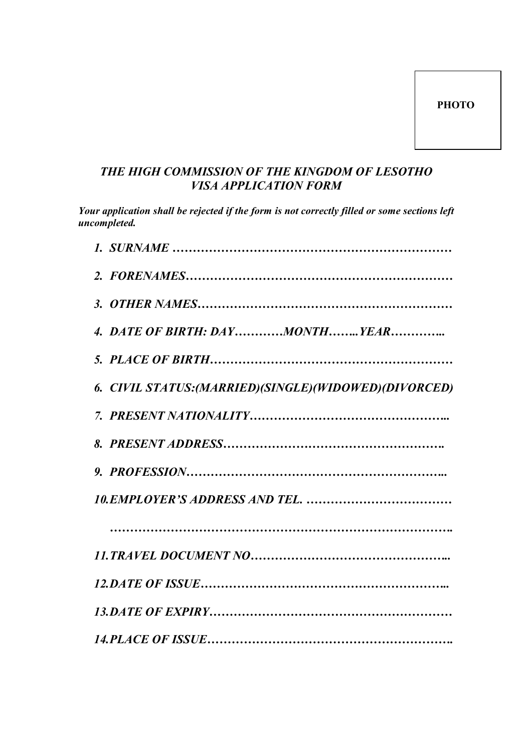## THE HIGH COMMISSION OF THE KINGDOM OF LESOTHO *VISA APPLICATION FORM*

*Your application shall be rejected if the form is not correctly filled or some sections left uncompleted.* 

| 4. DATE OF BIRTH: DAYMONTHYEAR                       |
|------------------------------------------------------|
|                                                      |
| 6. CIVIL STATUS:(MARRIED)(SINGLE)(WIDOWED)(DIVORCED) |
|                                                      |
|                                                      |
|                                                      |
|                                                      |
|                                                      |
|                                                      |
|                                                      |
|                                                      |
|                                                      |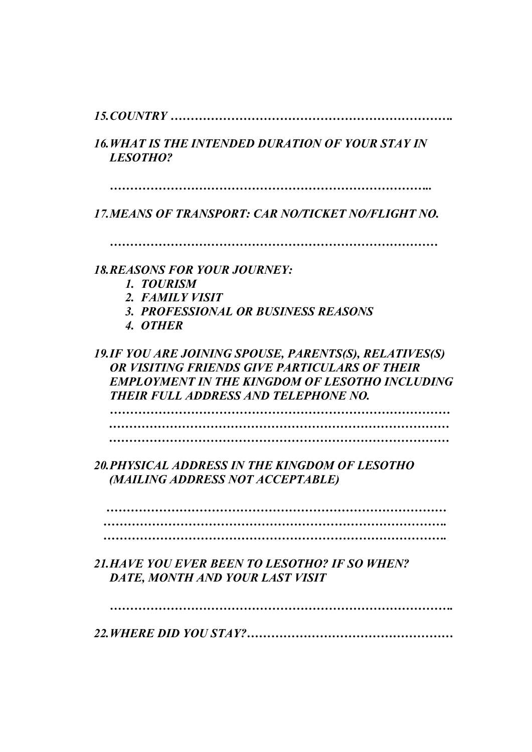*15.COUTRY …………………………………………………………….* 

16. WHAT IS THE INTENDED DURATION OF YOUR STAY IN *LESOTHO?* 

*……………………………………………………………………..* 

*17.MEAS OF TRASPORT: CAR O/TICKET O/FLIGHT O.* 

*………………………………………………………………………*

*18.REASOS FOR YOUR JOUREY:* 

- *1. TOURISM*
- *2. FAMILY VISIT*
- **3. PROFESSIONAL OR BUSINESS REASONS**
- *4. OTHER*

19.IF YOU ARE JOINING SPOUSE, PARENTS(S), RELATIVES(S) *OR VISITING FRIENDS GIVE PARTICULARS OF THEIR* **EMPLOYMENT IN THE KINGDOM OF LESOTHO INCLUDING THEIR FULL ADDRESS AND TELEPHONE NO.** 

*………………………………………………………………………… ………………………………………………………………………… …………………………………………………………………………*

**20. PHYSICAL ADDRESS IN THE KINGDOM OF LESOTHO**  *(MAILIG ADDRESS OT ACCEPTABLE)* 

 *………………………………………………………………………… …………………………………………………………………………. ………………………………………………………………………….* 

**21. HAVE YOU EVER BEEN TO LESOTHO? IF SO WHEN?** *DATE, MOTH AD YOUR LAST VISIT* 

*………………………………………………………………………….* 

*22.WHERE DID YOU STAY?……………………………………………*